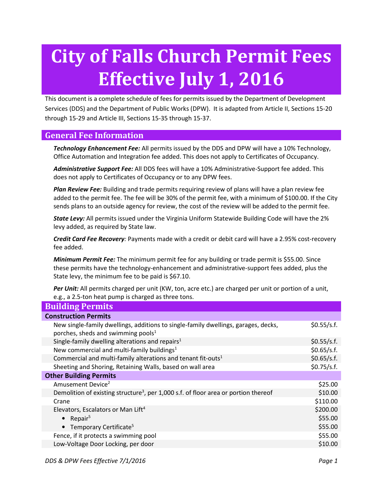# City of Falls Church Permit Fees Effective July 1, 2016

This document is a complete schedule of fees for permits issued by the Department of Development Services (DDS) and the Department of Public Works (DPW). It is adapted from Article II, Sections 15-20 through 15-29 and Article III, Sections 15-35 through 15-37.

# General Fee Information

Technology Enhancement Fee: All permits issued by the DDS and DPW will have a 10% Technology, Office Automation and Integration fee added. This does not apply to Certificates of Occupancy.

Administrative Support Fee: All DDS fees will have a 10% Administrative-Support fee added. This does not apply to Certificates of Occupancy or to any DPW fees.

Plan Review Fee: Building and trade permits requiring review of plans will have a plan review fee added to the permit fee. The fee will be 30% of the permit fee, with a minimum of \$100.00. If the City sends plans to an outside agency for review, the cost of the review will be added to the permit fee.

State Levy: All permits issued under the Virginia Uniform Statewide Building Code will have the 2% levy added, as required by State law.

**Credit Card Fee Recovery**: Payments made with a credit or debit card will have a 2.95% cost-recovery fee added.

**Minimum Permit Fee:** The minimum permit fee for any building or trade permit is \$55.00. Since these permits have the technology-enhancement and administrative-support fees added, plus the State levy, the minimum fee to be paid is \$67.10.

Per Unit: All permits charged per unit (KW, ton, acre etc.) are charged per unit or portion of a unit, e.g., a 2.5-ton heat pump is charged as three tons.

| <b>Building Permits</b>       |  |  |  |
|-------------------------------|--|--|--|
| <b>Construction Permits</b>   |  |  |  |
| \$0.55/s.f.                   |  |  |  |
| \$0.55/s.f.                   |  |  |  |
| \$0.65/s.f.                   |  |  |  |
| \$0.65/s.f.                   |  |  |  |
| \$0.75/s.f.                   |  |  |  |
| <b>Other Building Permits</b> |  |  |  |
| \$25.00                       |  |  |  |
| \$10.00                       |  |  |  |
| \$110.00                      |  |  |  |
| \$200.00                      |  |  |  |
| \$55.00                       |  |  |  |
| \$55.00                       |  |  |  |
| \$55.00                       |  |  |  |
| \$10.00                       |  |  |  |
|                               |  |  |  |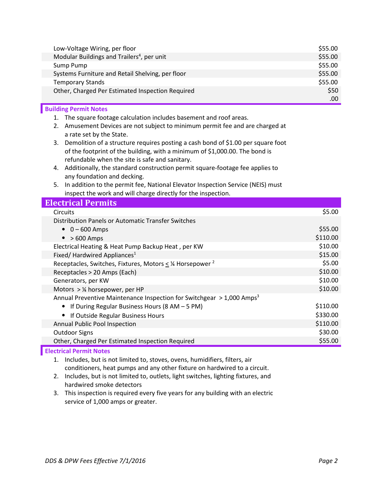| Low-Voltage Wiring, per floor                          | \$55.00 |
|--------------------------------------------------------|---------|
| Modular Buildings and Trailers <sup>4</sup> , per unit | \$55.00 |
| Sump Pump                                              | \$55.00 |
| Systems Furniture and Retail Shelving, per floor       | \$55.00 |
| <b>Temporary Stands</b>                                | \$55.00 |
| Other, Charged Per Estimated Inspection Required       | \$50    |
|                                                        | .00     |

## Building Permit Notes

- 1. The square footage calculation includes basement and roof areas.
- 2. Amusement Devices are not subject to minimum permit fee and are charged at a rate set by the State.
- 3. Demolition of a structure requires posting a cash bond of \$1.00 per square foot of the footprint of the building, with a minimum of \$1,000.00. The bond is refundable when the site is safe and sanitary.
- 4. Additionally, the standard construction permit square-footage fee applies to any foundation and decking.
- 5. In addition to the permit fee, National Elevator Inspection Service (NEIS) must inspect the work and will charge directly for the inspection.

| <b>Electrical Permits</b>                                                         |          |  |
|-----------------------------------------------------------------------------------|----------|--|
| <b>Circuits</b>                                                                   | \$5.00   |  |
| <b>Distribution Panels or Automatic Transfer Switches</b>                         |          |  |
| $0 - 600$ Amps                                                                    | \$55.00  |  |
| $>600$ Amps<br>$\bullet$                                                          | \$110.00 |  |
| Electrical Heating & Heat Pump Backup Heat, per KW                                | \$10.00  |  |
| Fixed/ Hardwired Appliances <sup>1</sup>                                          | \$15.00  |  |
| Receptacles, Switches, Fixtures, Motors < 1/4 Horsepower <sup>2</sup>             | \$5.00   |  |
| Receptacles > 20 Amps (Each)                                                      | \$10.00  |  |
| Generators, per KW                                                                | \$10.00  |  |
| Motors $>$ 1/4 horsepower, per HP                                                 | \$10.00  |  |
| Annual Preventive Maintenance Inspection for Switchgear > 1,000 Amps <sup>3</sup> |          |  |
| • If During Regular Business Hours (8 AM $-$ 5 PM)                                | \$110.00 |  |
| If Outside Regular Business Hours                                                 | \$330.00 |  |
| Annual Public Pool Inspection                                                     | \$110.00 |  |
| Outdoor Signs                                                                     | \$30.00  |  |
| Other, Charged Per Estimated Inspection Required                                  | \$55.00  |  |
|                                                                                   |          |  |

### Electrical Permit Notes

1. Includes, but is not limited to, stoves, ovens, humidifiers, filters, air conditioners, heat pumps and any other fixture on hardwired to a circuit.

- 2. Includes, but is not limited to, outlets, light switches, lighting fixtures, and hardwired smoke detectors
- 3. This inspection is required every five years for any building with an electric service of 1,000 amps or greater.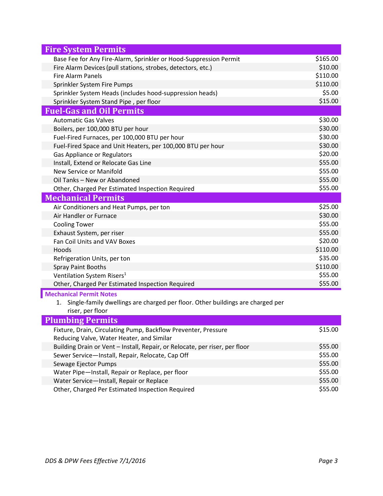| <b>Fire System Permits</b>                                                           |          |
|--------------------------------------------------------------------------------------|----------|
| Base Fee for Any Fire-Alarm, Sprinkler or Hood-Suppression Permit                    | \$165.00 |
| Fire Alarm Devices (pull stations, strobes, detectors, etc.)                         | \$10.00  |
| <b>Fire Alarm Panels</b>                                                             | \$110.00 |
| Sprinkler System Fire Pumps                                                          | \$110.00 |
| Sprinkler System Heads (includes hood-suppression heads)                             | \$5.00   |
| Sprinkler System Stand Pipe, per floor                                               | \$15.00  |
| <b>Fuel-Gas and Oil Permits</b>                                                      |          |
| <b>Automatic Gas Valves</b>                                                          | \$30.00  |
| Boilers, per 100,000 BTU per hour                                                    | \$30.00  |
| Fuel-Fired Furnaces, per 100,000 BTU per hour                                        | \$30.00  |
| Fuel-Fired Space and Unit Heaters, per 100,000 BTU per hour                          | \$30.00  |
| <b>Gas Appliance or Regulators</b>                                                   | \$20.00  |
| Install, Extend or Relocate Gas Line                                                 | \$55.00  |
| New Service or Manifold                                                              | \$55.00  |
| Oil Tanks - New or Abandoned                                                         | \$55.00  |
| Other, Charged Per Estimated Inspection Required                                     | \$55.00  |
| <b>Mechanical Permits</b>                                                            |          |
| Air Conditioners and Heat Pumps, per ton                                             | \$25.00  |
| Air Handler or Furnace                                                               | \$30.00  |
| <b>Cooling Tower</b>                                                                 | \$55.00  |
| Exhaust System, per riser                                                            | \$55.00  |
| Fan Coil Units and VAV Boxes                                                         | \$20.00  |
| Hoods                                                                                | \$110.00 |
| Refrigeration Units, per ton                                                         | \$35.00  |
| <b>Spray Paint Booths</b>                                                            | \$110.00 |
| Ventilation System Risers <sup>1</sup>                                               | \$55.00  |
| Other, Charged Per Estimated Inspection Required                                     | \$55.00  |
| <b>Mechanical Permit Notes</b>                                                       |          |
| Single-family dwellings are charged per floor. Other buildings are charged per<br>1. |          |
| riser, per floor                                                                     |          |

### Plumbing Permits Fixture, Drain, Circulating Pump, Backflow Preventer, Pressure Reducing Valve, Water Heater, and Similar \$15.00 Building Drain or Vent – Install, Repair, or Relocate, per riser, per floor \$55.00 Sewer Service—Install, Repair, Relocate, Cap Off  $\frac{555.00}{80}$ Sewage Ejector Pumps **\$55.00** Water Pipe—Install, Repair or Replace, per floor \$55.00 Water Service—Install, Repair or Replace \$55.00 Other, Charged Per Estimated Inspection Required  $$55.00$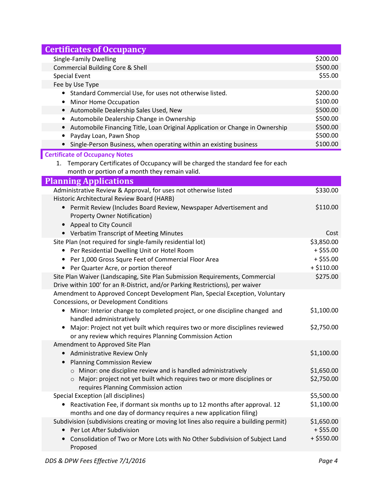| <b>Certificates of Occupancy</b>                                                                                                        |              |
|-----------------------------------------------------------------------------------------------------------------------------------------|--------------|
| <b>Single-Family Dwelling</b>                                                                                                           | \$200.00     |
| <b>Commercial Building Core &amp; Shell</b>                                                                                             | \$500.00     |
| <b>Special Event</b>                                                                                                                    | \$55.00      |
| Fee by Use Type                                                                                                                         |              |
| • Standard Commercial Use, for uses not otherwise listed.                                                                               | \$200.00     |
| • Minor Home Occupation                                                                                                                 | \$100.00     |
| • Automobile Dealership Sales Used, New                                                                                                 | \$500.00     |
| Automobile Dealership Change in Ownership                                                                                               | \$500.00     |
| • Automobile Financing Title, Loan Original Application or Change in Ownership                                                          | \$500.00     |
| • Payday Loan, Pawn Shop                                                                                                                | \$500.00     |
| • Single-Person Business, when operating within an existing business                                                                    | \$100.00     |
| <b>Certificate of Occupancy Notes</b>                                                                                                   |              |
| 1. Temporary Certificates of Occupancy will be charged the standard fee for each                                                        |              |
| month or portion of a month they remain valid.                                                                                          |              |
| <b>Planning Applications</b>                                                                                                            |              |
| Administrative Review & Approval, for uses not otherwise listed                                                                         | \$330.00     |
| Historic Architectural Review Board (HARB)                                                                                              |              |
| • Permit Review (Includes Board Review, Newspaper Advertisement and                                                                     | \$110.00     |
| <b>Property Owner Notification)</b>                                                                                                     |              |
| • Appeal to City Council                                                                                                                |              |
| • Verbatim Transcript of Meeting Minutes                                                                                                | Cost         |
| Site Plan (not required for single-family residential lot)                                                                              | \$3,850.00   |
| • Per Residential Dwelling Unit or Hotel Room                                                                                           | $+$ \$55.00  |
| • Per 1,000 Gross Squre Feet of Commercial Floor Area                                                                                   | $+ $55.00$   |
| • Per Quarter Acre, or portion thereof                                                                                                  | $+ $110.00$  |
| Site Plan Waiver (Landscaping, Site Plan Submission Requirements, Commercial                                                            | \$275.00     |
| Drive within 100' for an R-District, and/or Parking Restrictions), per waiver                                                           |              |
| Amendment to Approved Concept Development Plan, Special Exception, Voluntary                                                            |              |
| Concessions, or Development Conditions                                                                                                  |              |
| Minor: Interior change to completed project, or one discipline changed and                                                              | \$1,100.00   |
| handled administratively                                                                                                                |              |
| Major: Project not yet built which requires two or more disciplines reviewed<br>or any review which requires Planning Commission Action | \$2,750.00   |
| Amendment to Approved Site Plan                                                                                                         |              |
| • Administrative Review Only                                                                                                            | \$1,100.00   |
| <b>Planning Commission Review</b><br>$\bullet$                                                                                          |              |
| o Minor: one discipline review and is handled administratively                                                                          | \$1,650.00   |
| ○ Major: project not yet built which requires two or more disciplines or                                                                | \$2,750.00   |
| requires Planning Commission action                                                                                                     |              |
| Special Exception (all disciplines)                                                                                                     | \$5,500.00   |
| Reactivation Fee, if dormant six months up to 12 months after approval. 12                                                              | \$1,100.00   |
| months and one day of dormancy requires a new application filing)                                                                       |              |
| Subdivision (subdivisions creating or moving lot lines also require a building permit)                                                  | \$1,650.00   |
| Per Lot After Subdivision                                                                                                               | $+$ \$55.00  |
| Consolidation of Two or More Lots with No Other Subdivision of Subject Land                                                             | $+$ \$550.00 |
| Proposed                                                                                                                                |              |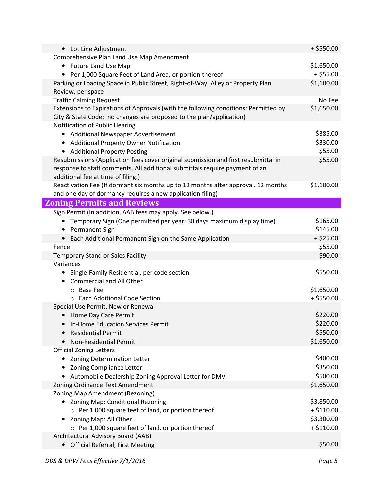| • Lot Line Adjustment                                                                                             | $+$ \$550.00 |
|-------------------------------------------------------------------------------------------------------------------|--------------|
| Comprehensive Plan Land Use Map Amendment                                                                         |              |
| • Future Land Use Map                                                                                             | \$1,650.00   |
| • Per 1,000 Square Feet of Land Area, or portion thereof                                                          | $+$ \$55.00  |
| Parking or Loading Space in Public Street, Right-of-Way, Alley or Property Plan<br>Review, per space              | \$1,100.00   |
| <b>Traffic Calming Request</b>                                                                                    | No Fee       |
| Extensions to Expirations of Approvals (with the following conditions: Permitted by                               | \$1,650.00   |
| City & State Code; no changes are proposed to the plan/application)                                               |              |
| Notification of Public Hearing                                                                                    |              |
| • Additional Newspaper Advertisement                                                                              | \$385.00     |
| • Additional Property Owner Notification                                                                          | \$330.00     |
| • Additional Property Posting                                                                                     | \$55.00      |
| Resubmissions (Application fees cover original submission and first resubmittal in                                | \$55.00      |
| response to staff comments. All additional submittals require payment of an<br>additional fee at time of filing.) |              |
| Reactivation Fee (If dormant six months up to 12 months after approval. 12 months                                 | \$1,100.00   |
| and one day of dormancy requires a new application filing)                                                        |              |
| <b>Zoning Permits and Reviews</b>                                                                                 |              |
| Sign Permit (In addition, AAB fees may apply. See below.)                                                         |              |
| Temporary Sign (One permitted per year; 30 days maximum display time)                                             | \$165.00     |
| <b>Permanent Sign</b>                                                                                             | \$145.00     |
| • Each Additional Permanent Sign on the Same Application                                                          | $+ $25.00$   |
| Fence                                                                                                             | \$55.00      |
| Temporary Stand or Sales Facility                                                                                 | \$90.00      |
| Variances                                                                                                         |              |
| Single-Family Residential, per code section<br>$\bullet$                                                          | \$550.00     |
| <b>Commercial and All Other</b>                                                                                   |              |
| ○ Base Fee                                                                                                        | \$1,650.00   |
| ○ Each Additional Code Section                                                                                    | $+$ \$550.00 |
| Special Use Permit, New or Renewal                                                                                |              |
| Home Day Care Permit                                                                                              | \$220.00     |
| In-Home Education Services Permit                                                                                 | \$220.00     |
| <b>Residential Permit</b>                                                                                         | \$550.00     |
| Non-Residential Permit                                                                                            | \$1,650.00   |
| <b>Official Zoning Letters</b>                                                                                    |              |
| Zoning Determination Letter                                                                                       | \$400.00     |
| Zoning Compliance Letter                                                                                          | \$350.00     |
| Automobile Dealership Zoning Approval Letter for DMV                                                              | \$500.00     |
| Zoning Ordinance Text Amendment                                                                                   | \$1,650.00   |
| Zoning Map Amendment (Rezoning)                                                                                   |              |
| Zoning Map: Conditional Rezoning                                                                                  | \$3,850.00   |
| $\circ$ Per 1,000 square feet of land, or portion thereof                                                         | $+ $110.00$  |
| Zoning Map: All Other<br>٠                                                                                        | \$3,300.00   |
| ○ Per 1,000 square feet of land, or portion thereof                                                               | $+ $110.00$  |
| Architectural Advisory Board (AAB)                                                                                |              |
| <b>Official Referral, First Meeting</b>                                                                           | \$50.00      |
|                                                                                                                   |              |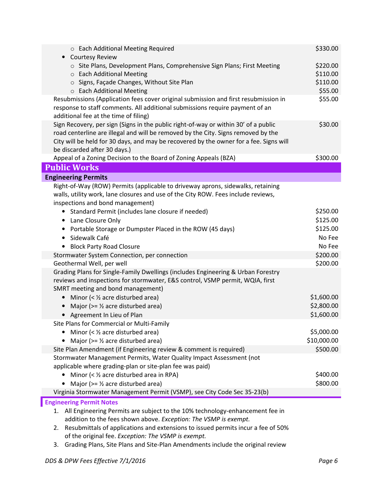| o Each Additional Meeting Required                                                                                                                                          | \$330.00             |
|-----------------------------------------------------------------------------------------------------------------------------------------------------------------------------|----------------------|
| <b>Courtesy Review</b><br>$\bullet$<br>o Site Plans, Development Plans, Comprehensive Sign Plans; First Meeting                                                             | \$220.00             |
| ○ Each Additional Meeting                                                                                                                                                   | \$110.00             |
| ○ Signs, Façade Changes, Without Site Plan                                                                                                                                  | \$110.00             |
| o Each Additional Meeting                                                                                                                                                   | \$55.00              |
| Resubmissions (Application fees cover original submission and first resubmission in                                                                                         | \$55.00              |
| response to staff comments. All additional submissions require payment of an                                                                                                |                      |
| additional fee at the time of filing)                                                                                                                                       |                      |
| Sign Recovery, per sign (Signs in the public right-of-way or within 30' of a public                                                                                         | \$30.00              |
| road centerline are illegal and will be removed by the City. Signs removed by the<br>City will be held for 30 days, and may be recovered by the owner for a fee. Signs will |                      |
| be discarded after 30 days.)                                                                                                                                                |                      |
| Appeal of a Zoning Decision to the Board of Zoning Appeals (BZA)                                                                                                            | \$300.00             |
| <b>Public Works</b>                                                                                                                                                         |                      |
| <b>Engineering Permits</b>                                                                                                                                                  |                      |
| Right-of-Way (ROW) Permits (applicable to driveway aprons, sidewalks, retaining                                                                                             |                      |
| walls, utility work, lane closures and use of the City ROW. Fees include reviews,                                                                                           |                      |
| inspections and bond management)                                                                                                                                            |                      |
| Standard Permit (includes lane closure if needed)<br>$\bullet$                                                                                                              | \$250.00             |
| Lane Closure Only                                                                                                                                                           | \$125.00             |
| Portable Storage or Dumpster Placed in the ROW (45 days)                                                                                                                    | \$125.00             |
| Sidewalk Café<br>٠                                                                                                                                                          | No Fee               |
| • Block Party Road Closure                                                                                                                                                  | No Fee               |
| Stormwater System Connection, per connection                                                                                                                                | \$200.00             |
| Geothermal Well, per well                                                                                                                                                   | \$200.00             |
| Grading Plans for Single-Family Dwellings (includes Engineering & Urban Forestry<br>reviews and inspections for stormwater, E&S control, VSMP permit, WQIA, first           |                      |
| SMRT meeting and bond management)                                                                                                                                           |                      |
| Minor $(\frac{1}{2} acre disturbed area)$<br>$\bullet$                                                                                                                      | \$1,600.00           |
| Major ( $> = 1/2$ acre disturbed area)<br>$\bullet$                                                                                                                         | \$2,800.00           |
| • Agreement In Lieu of Plan                                                                                                                                                 | \$1,600.00           |
| Site Plans for Commercial or Multi-Family                                                                                                                                   |                      |
| Minor (< $\frac{1}{2}$ acre disturbed area)<br>$\bullet$                                                                                                                    | \$5,000.00           |
| Major ( $> = 1/2$ acre disturbed area)                                                                                                                                      | \$10,000.00          |
| Site Plan Amendment (if Engineering review & comment is required)                                                                                                           | \$500.00             |
| Stormwater Management Permits, Water Quality Impact Assessment (not                                                                                                         |                      |
| applicable where grading-plan or site-plan fee was paid)                                                                                                                    |                      |
| Minor (< $\frac{1}{2}$ acre disturbed area in RPA)<br>Major ( $> = $ % acre disturbed area)                                                                                 | \$400.00<br>\$800.00 |
| Virginia Stormwater Management Permit (VSMP), see City Code Sec 35-23(b)                                                                                                    |                      |
| <b>Engineering Permit Notes</b>                                                                                                                                             |                      |
| 1. All Engineering Permits are subject to the 10% technology-enhancement fee in                                                                                             |                      |
| addition to the fees shown above. Exception: The VSMP is exempt.                                                                                                            |                      |
| Resubmittals of applications and extensions to issued permits incur a fee of 50%<br>2.                                                                                      |                      |
| of the original fee. Exception: The VSMP is exempt.                                                                                                                         |                      |
| Grading Plans, Site Plans and Site-Plan Amendments include the original review<br>3.                                                                                        |                      |

Ī